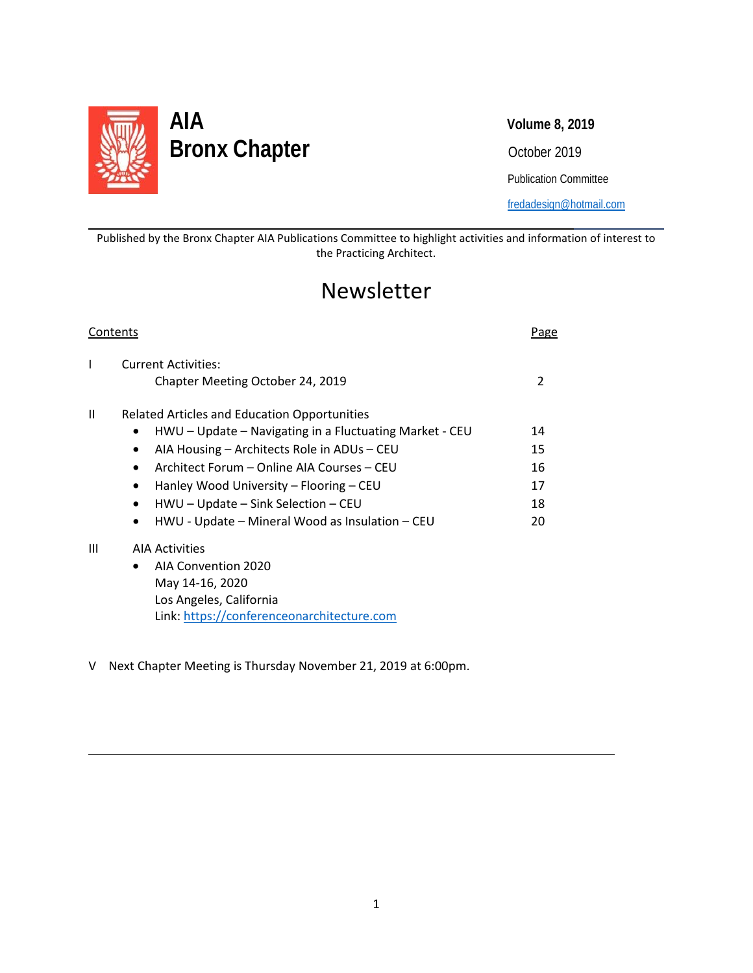

l

L

# **AIA Volume 8, 2019** Bronx Chapter **Discussed Section** Cotober 2019

Publication Committee

[fredadesign@hotmail.com](mailto:fredadesign@hotmail.com)

Published by the Bronx Chapter AIA Publications Committee to highlight activities and information of interest to the Practicing Architect.

## Newsletter

| Contents     |                                                                |    |
|--------------|----------------------------------------------------------------|----|
| $\mathsf{l}$ | <b>Current Activities:</b><br>Chapter Meeting October 24, 2019 | 2  |
| $\mathbf{H}$ | <b>Related Articles and Education Opportunities</b>            |    |
|              | HWU – Update – Navigating in a Fluctuating Market - CEU        | 14 |
|              | AIA Housing – Architects Role in ADUs – CEU<br>$\bullet$       | 15 |
|              | Architect Forum – Online AIA Courses – CEU<br>$\bullet$        | 16 |
|              | Hanley Wood University – Flooring – CEU<br>$\bullet$           | 17 |
|              | HWU - Update - Sink Selection - CEU                            | 18 |
|              | HWU - Update - Mineral Wood as Insulation - CEU<br>٠           | 20 |
| Ш            | <b>AIA Activities</b>                                          |    |
|              | <b>AIA Convention 2020</b><br>$\bullet$                        |    |
|              | May 14-16, 2020                                                |    |
|              | Los Angeles, California                                        |    |
|              | Link: https://conferenceonarchitecture.com                     |    |

V Next Chapter Meeting is Thursday November 21, 2019 at 6:00pm.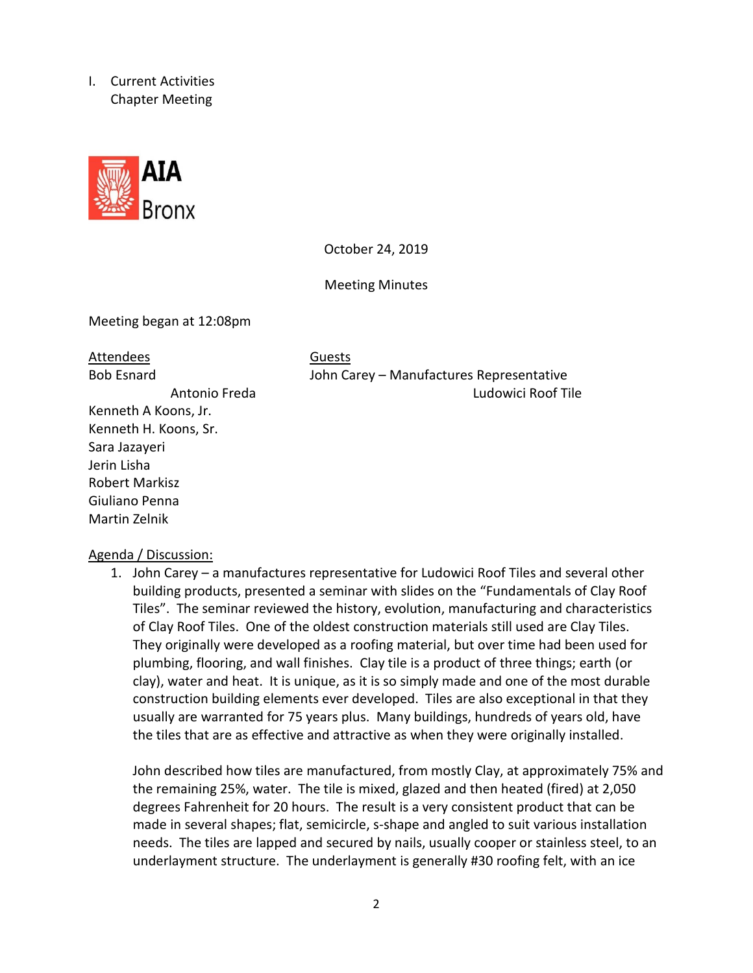I. Current Activities Chapter Meeting



October 24, 2019

Meeting Minutes

Meeting began at 12:08pm

## Attendees Guests

Kenneth A Koons, Jr. Kenneth H. Koons, Sr. Sara Jazayeri Jerin Lisha Robert Markisz Giuliano Penna Martin Zelnik

Bob Esnard John Carey – Manufactures Representative Antonio Freda Ludowici Roof Tile

#### Agenda / Discussion:

1. John Carey – a manufactures representative for Ludowici Roof Tiles and several other building products, presented a seminar with slides on the "Fundamentals of Clay Roof Tiles". The seminar reviewed the history, evolution, manufacturing and characteristics of Clay Roof Tiles. One of the oldest construction materials still used are Clay Tiles. They originally were developed as a roofing material, but over time had been used for plumbing, flooring, and wall finishes. Clay tile is a product of three things; earth (or clay), water and heat. It is unique, as it is so simply made and one of the most durable construction building elements ever developed. Tiles are also exceptional in that they usually are warranted for 75 years plus. Many buildings, hundreds of years old, have the tiles that are as effective and attractive as when they were originally installed.

John described how tiles are manufactured, from mostly Clay, at approximately 75% and the remaining 25%, water. The tile is mixed, glazed and then heated (fired) at 2,050 degrees Fahrenheit for 20 hours. The result is a very consistent product that can be made in several shapes; flat, semicircle, s-shape and angled to suit various installation needs. The tiles are lapped and secured by nails, usually cooper or stainless steel, to an underlayment structure. The underlayment is generally #30 roofing felt, with an ice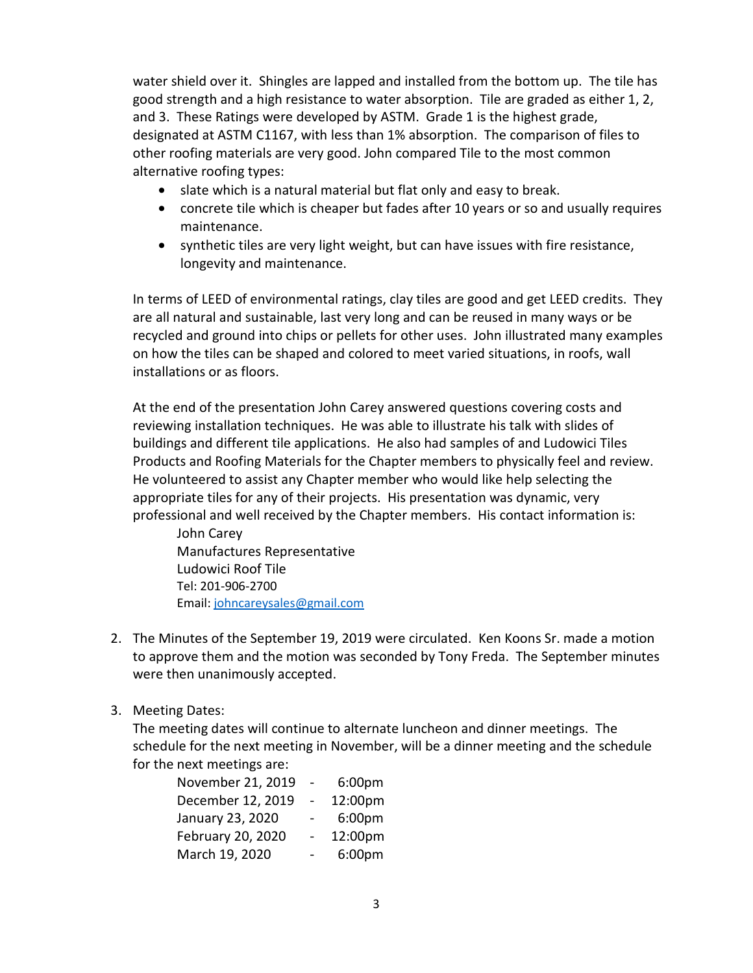water shield over it. Shingles are lapped and installed from the bottom up. The tile has good strength and a high resistance to water absorption. Tile are graded as either 1, 2, and 3. These Ratings were developed by ASTM. Grade 1 is the highest grade, designated at ASTM C1167, with less than 1% absorption. The comparison of files to other roofing materials are very good. John compared Tile to the most common alternative roofing types:

- slate which is a natural material but flat only and easy to break.
- concrete tile which is cheaper but fades after 10 years or so and usually requires maintenance.
- synthetic tiles are very light weight, but can have issues with fire resistance, longevity and maintenance.

In terms of LEED of environmental ratings, clay tiles are good and get LEED credits. They are all natural and sustainable, last very long and can be reused in many ways or be recycled and ground into chips or pellets for other uses. John illustrated many examples on how the tiles can be shaped and colored to meet varied situations, in roofs, wall installations or as floors.

At the end of the presentation John Carey answered questions covering costs and reviewing installation techniques. He was able to illustrate his talk with slides of buildings and different tile applications. He also had samples of and Ludowici Tiles Products and Roofing Materials for the Chapter members to physically feel and review. He volunteered to assist any Chapter member who would like help selecting the appropriate tiles for any of their projects. His presentation was dynamic, very professional and well received by the Chapter members. His contact information is:

John Carey Manufactures Representative Ludowici Roof Tile Tel: 201-906-2700 Email: [johncareysales@gmail.com](mailto:johncareysales@gmail.com)

- 2. The Minutes of the September 19, 2019 were circulated. Ken Koons Sr. made a motion to approve them and the motion was seconded by Tony Freda. The September minutes were then unanimously accepted.
- 3. Meeting Dates:

The meeting dates will continue to alternate luncheon and dinner meetings. The schedule for the next meeting in November, will be a dinner meeting and the schedule for the next meetings are:

| November 21, 2019 | 6:00 <sub>pm</sub> |
|-------------------|--------------------|
| December 12, 2019 | 12:00pm            |
| January 23, 2020  | 6:00pm             |
| February 20, 2020 | 12:00pm            |
| March 19, 2020    | 6:00pm             |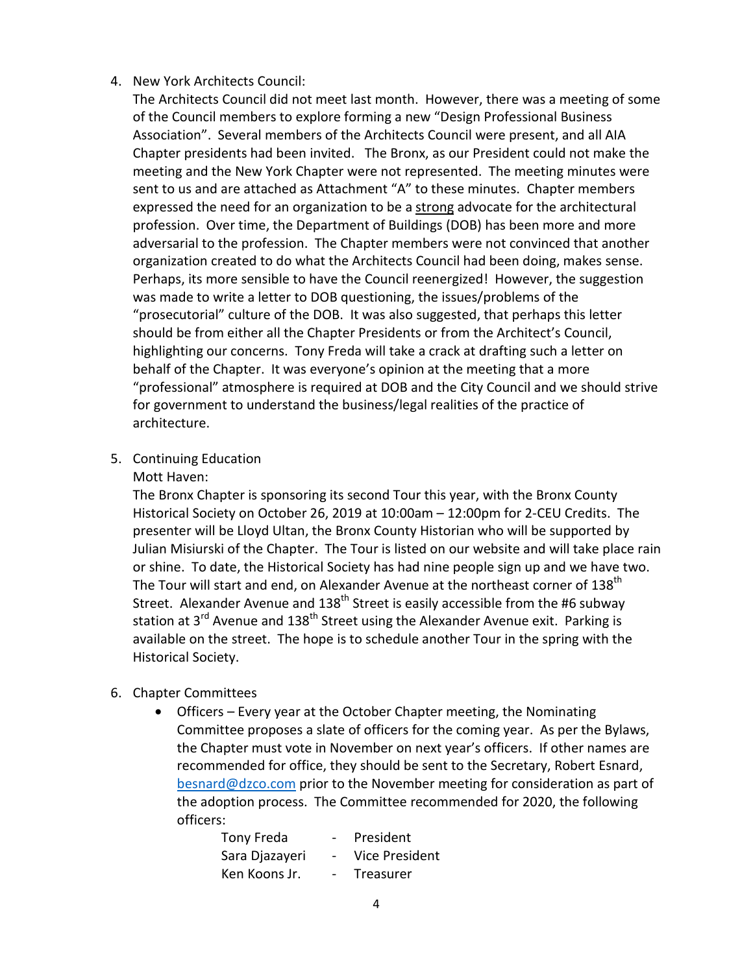### 4. New York Architects Council:

The Architects Council did not meet last month. However, there was a meeting of some of the Council members to explore forming a new "Design Professional Business Association". Several members of the Architects Council were present, and all AIA Chapter presidents had been invited. The Bronx, as our President could not make the meeting and the New York Chapter were not represented. The meeting minutes were sent to us and are attached as Attachment "A" to these minutes. Chapter members expressed the need for an organization to be a strong advocate for the architectural profession. Over time, the Department of Buildings (DOB) has been more and more adversarial to the profession. The Chapter members were not convinced that another organization created to do what the Architects Council had been doing, makes sense. Perhaps, its more sensible to have the Council reenergized! However, the suggestion was made to write a letter to DOB questioning, the issues/problems of the "prosecutorial" culture of the DOB. It was also suggested, that perhaps this letter should be from either all the Chapter Presidents or from the Architect's Council, highlighting our concerns. Tony Freda will take a crack at drafting such a letter on behalf of the Chapter. It was everyone's opinion at the meeting that a more "professional" atmosphere is required at DOB and the City Council and we should strive for government to understand the business/legal realities of the practice of architecture.

5. Continuing Education

#### Mott Haven:

The Bronx Chapter is sponsoring its second Tour this year, with the Bronx County Historical Society on October 26, 2019 at 10:00am – 12:00pm for 2-CEU Credits. The presenter will be Lloyd Ultan, the Bronx County Historian who will be supported by Julian Misiurski of the Chapter. The Tour is listed on our website and will take place rain or shine. To date, the Historical Society has had nine people sign up and we have two. The Tour will start and end, on Alexander Avenue at the northeast corner of 138<sup>th</sup> Street. Alexander Avenue and  $138<sup>th</sup>$  Street is easily accessible from the #6 subway station at  $3^{\text{rd}}$  Avenue and  $138^{\text{th}}$  Street using the Alexander Avenue exit. Parking is available on the street. The hope is to schedule another Tour in the spring with the Historical Society.

## 6. Chapter Committees

• Officers – Every year at the October Chapter meeting, the Nominating Committee proposes a slate of officers for the coming year. As per the Bylaws, the Chapter must vote in November on next year's officers. If other names are recommended for office, they should be sent to the Secretary, Robert Esnard, [besnard@dzco.com](mailto:besnard@dzco.com) prior to the November meeting for consideration as part of the adoption process. The Committee recommended for 2020, the following officers:

| Tony Freda     | $\sim$ | President      |
|----------------|--------|----------------|
| Sara Djazayeri |        | Vice President |
| Ken Koons Jr.  | $\sim$ | Treasurer      |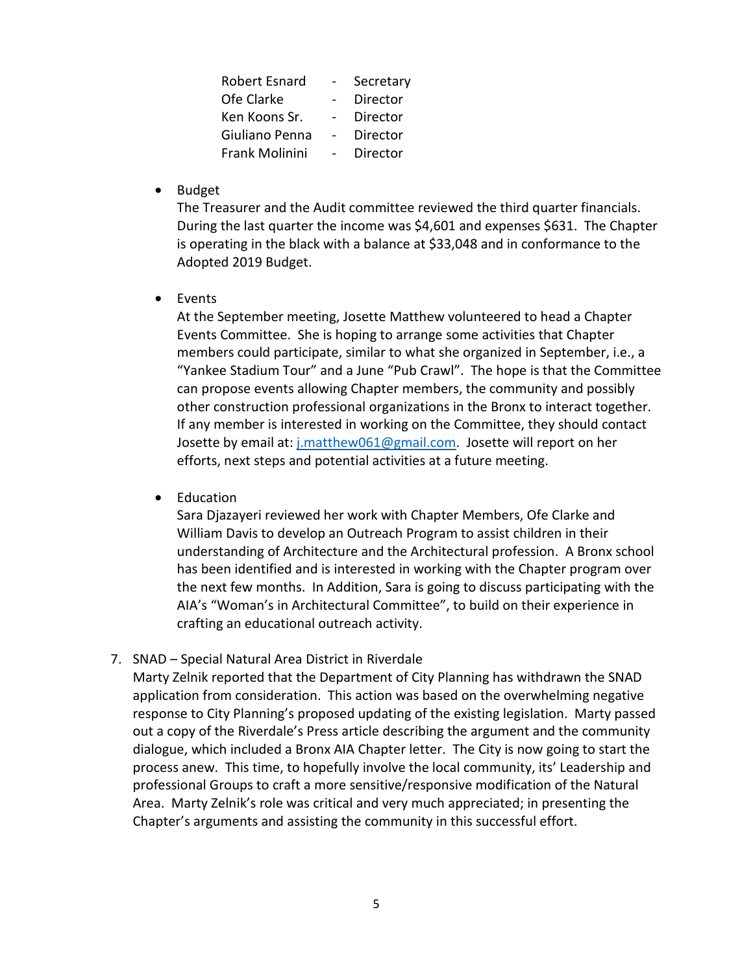| <b>Robert Esnard</b> | Secretary |
|----------------------|-----------|
| Ofe Clarke           | Director  |
| Ken Koons Sr.        | Director  |
| Giuliano Penna       | Director  |
| Frank Molinini       | Director  |

• Budget

The Treasurer and the Audit committee reviewed the third quarter financials. During the last quarter the income was \$4,601 and expenses \$631. The Chapter is operating in the black with a balance at \$33,048 and in conformance to the Adopted 2019 Budget.

• Events

At the September meeting, Josette Matthew volunteered to head a Chapter Events Committee. She is hoping to arrange some activities that Chapter members could participate, similar to what she organized in September, i.e., a "Yankee Stadium Tour" and a June "Pub Crawl". The hope is that the Committee can propose events allowing Chapter members, the community and possibly other construction professional organizations in the Bronx to interact together. If any member is interested in working on the Committee, they should contact Josette by email at: [j.matthew061@gmail.com.](mailto:j.matthew061@gmail.com) Josette will report on her efforts, next steps and potential activities at a future meeting.

• Education

Sara Djazayeri reviewed her work with Chapter Members, Ofe Clarke and William Davis to develop an Outreach Program to assist children in their understanding of Architecture and the Architectural profession. A Bronx school has been identified and is interested in working with the Chapter program over the next few months. In Addition, Sara is going to discuss participating with the AIA's "Woman's in Architectural Committee", to build on their experience in crafting an educational outreach activity.

7. SNAD – Special Natural Area District in Riverdale

Marty Zelnik reported that the Department of City Planning has withdrawn the SNAD application from consideration. This action was based on the overwhelming negative response to City Planning's proposed updating of the existing legislation. Marty passed out a copy of the Riverdale's Press article describing the argument and the community dialogue, which included a Bronx AIA Chapter letter. The City is now going to start the process anew. This time, to hopefully involve the local community, its' Leadership and professional Groups to craft a more sensitive/responsive modification of the Natural Area. Marty Zelnik's role was critical and very much appreciated; in presenting the Chapter's arguments and assisting the community in this successful effort.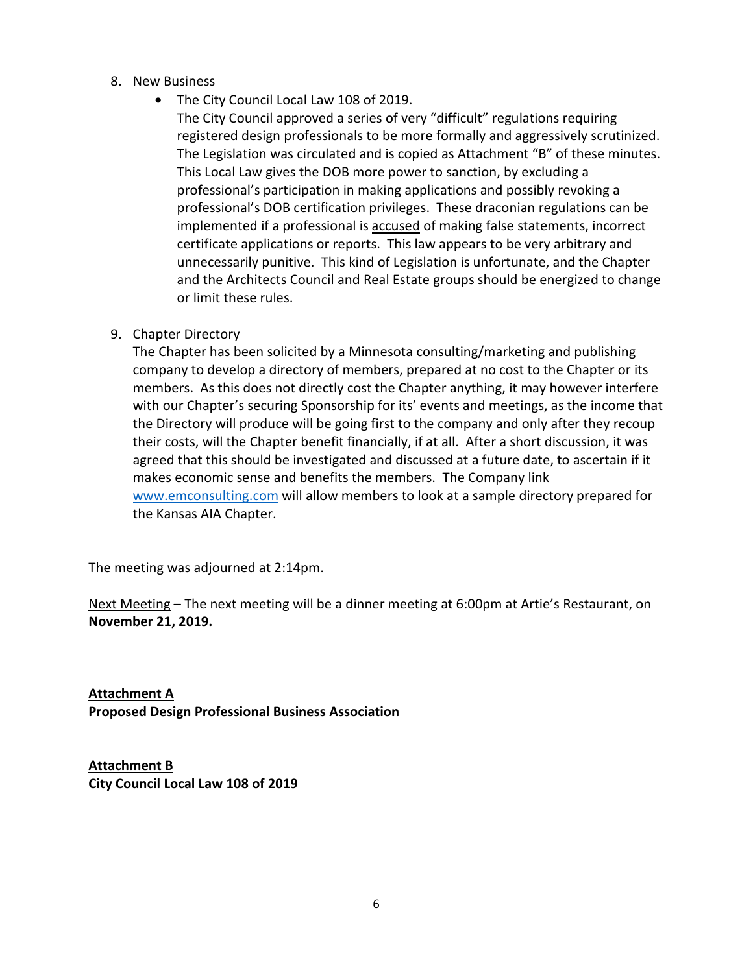- 8. New Business
	- The City Council Local Law 108 of 2019.
		- The City Council approved a series of very "difficult" regulations requiring registered design professionals to be more formally and aggressively scrutinized. The Legislation was circulated and is copied as Attachment "B" of these minutes. This Local Law gives the DOB more power to sanction, by excluding a professional's participation in making applications and possibly revoking a professional's DOB certification privileges. These draconian regulations can be implemented if a professional is accused of making false statements, incorrect certificate applications or reports. This law appears to be very arbitrary and unnecessarily punitive. This kind of Legislation is unfortunate, and the Chapter and the Architects Council and Real Estate groups should be energized to change or limit these rules.
- 9. Chapter Directory

The Chapter has been solicited by a Minnesota consulting/marketing and publishing company to develop a directory of members, prepared at no cost to the Chapter or its members. As this does not directly cost the Chapter anything, it may however interfere with our Chapter's securing Sponsorship for its' events and meetings, as the income that the Directory will produce will be going first to the company and only after they recoup their costs, will the Chapter benefit financially, if at all. After a short discussion, it was agreed that this should be investigated and discussed at a future date, to ascertain if it makes economic sense and benefits the members. The Company link [www.emconsulting.com](http://www.emconsulting.com/) will allow members to look at a sample directory prepared for the Kansas AIA Chapter.

The meeting was adjourned at 2:14pm.

Next Meeting – The next meeting will be a dinner meeting at 6:00pm at Artie's Restaurant, on **November 21, 2019.**

**Attachment A Proposed Design Professional Business Association**

**Attachment B City Council Local Law 108 of 2019**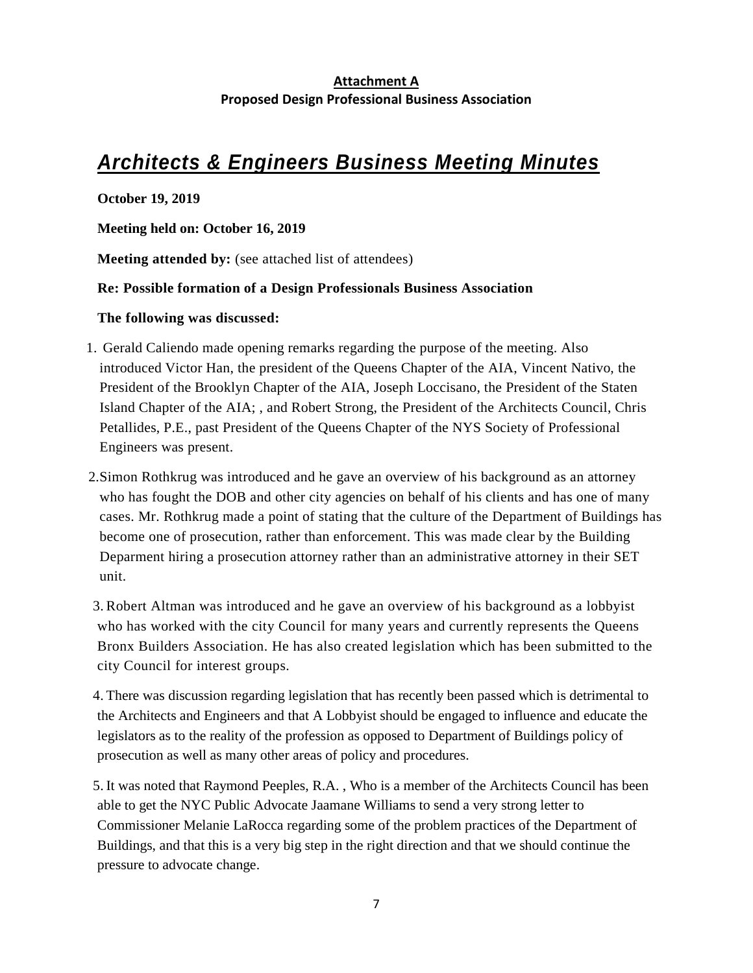## **Attachment A Proposed Design Professional Business Association**

## *Architects & Engineers Business Meeting Minutes*

**October 19, 2019**

**Meeting held on: October 16, 2019**

**Meeting attended by:** (see attached list of attendees)

### **Re: Possible formation of a Design Professionals Business Association**

### **The following was discussed:**

- 1. Gerald Caliendo made opening remarks regarding the purpose of the meeting. Also introduced Victor Han, the president of the Queens Chapter of the AIA, Vincent Nativo, the President of the Brooklyn Chapter of the AIA, Joseph Loccisano, the President of the Staten Island Chapter of the AIA; , and Robert Strong, the President of the Architects Council, Chris Petallides, P.E., past President of the Queens Chapter of the NYS Society of Professional Engineers was present.
- 2.Simon Rothkrug was introduced and he gave an overview of his background as an attorney who has fought the DOB and other city agencies on behalf of his clients and has one of many cases. Mr. Rothkrug made a point of stating that the culture of the Department of Buildings has become one of prosecution, rather than enforcement. This was made clear by the Building Deparment hiring a prosecution attorney rather than an administrative attorney in their SET unit.
- 3. Robert Altman was introduced and he gave an overview of his background as a lobbyist who has worked with the city Council for many years and currently represents the Queens Bronx Builders Association. He has also created legislation which has been submitted to the city Council for interest groups.

4. There was discussion regarding legislation that has recently been passed which is detrimental to the Architects and Engineers and that A Lobbyist should be engaged to influence and educate the legislators as to the reality of the profession as opposed to Department of Buildings policy of prosecution as well as many other areas of policy and procedures.

5. It was noted that Raymond Peeples, R.A. , Who is a member of the Architects Council has been able to get the NYC Public Advocate Jaamane Williams to send a very strong letter to Commissioner Melanie LaRocca regarding some of the problem practices of the Department of Buildings, and that this is a very big step in the right direction and that we should continue the pressure to advocate change.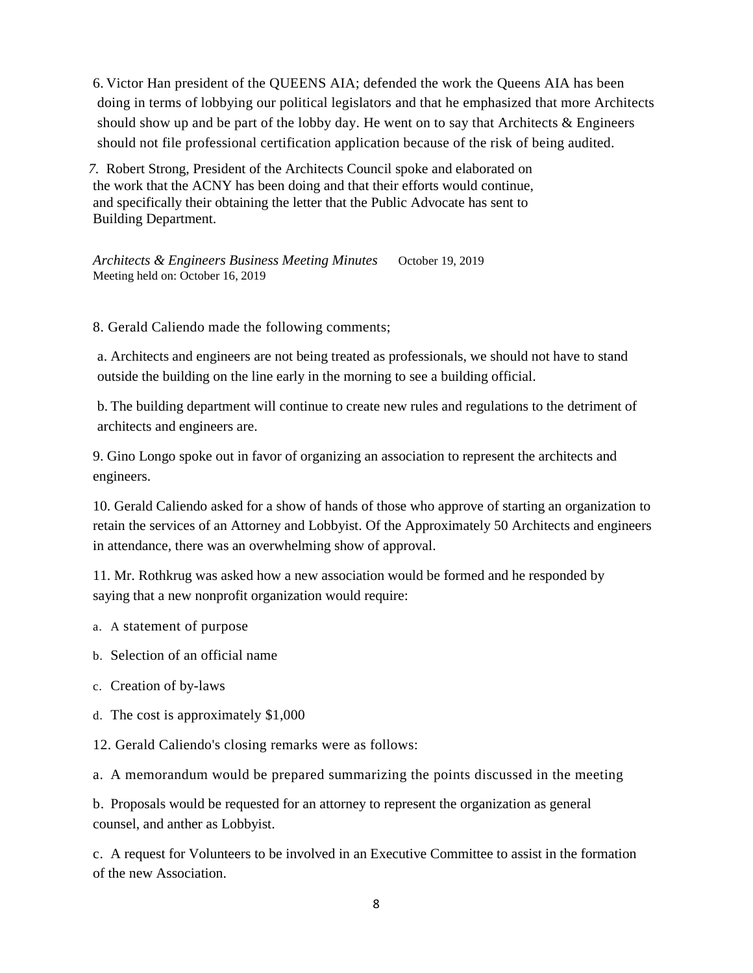6. Victor Han president of the QUEENS AIA; defended the work the Queens AIA has been doing in terms of lobbying our political legislators and that he emphasized that more Architects should show up and be part of the lobby day. He went on to say that Architects  $\&$  Engineers should not file professional certification application because of the risk of being audited.

*7.* Robert Strong, President of the Architects Council spoke and elaborated on the work that the ACNY has been doing and that their efforts would continue, and specifically their obtaining the letter that the Public Advocate has sent to Building Department.

*Architects & Engineers Business Meeting Minutes* October 19, 2019 Meeting held on: October 16, 2019

8. Gerald Caliendo made the following comments;

a. Architects and engineers are not being treated as professionals, we should not have to stand outside the building on the line early in the morning to see a building official.

b. The building department will continue to create new rules and regulations to the detriment of architects and engineers are.

9. Gino Longo spoke out in favor of organizing an association to represent the architects and engineers.

10. Gerald Caliendo asked for a show of hands of those who approve of starting an organization to retain the services of an Attorney and Lobbyist. Of the Approximately 50 Architects and engineers in attendance, there was an overwhelming show of approval.

11. Mr. Rothkrug was asked how a new association would be formed and he responded by saying that a new nonprofit organization would require:

- a. A statement of purpose
- b. Selection of an official name
- c. Creation of by-laws
- d. The cost is approximately \$1,000
- 12. Gerald Caliendo's closing remarks were as follows:

a. A memorandum would be prepared summarizing the points discussed in the meeting

b. Proposals would be requested for an attorney to represent the organization as general counsel, and anther as Lobbyist.

c. A request for Volunteers to be involved in an Executive Committee to assist in the formation of the new Association.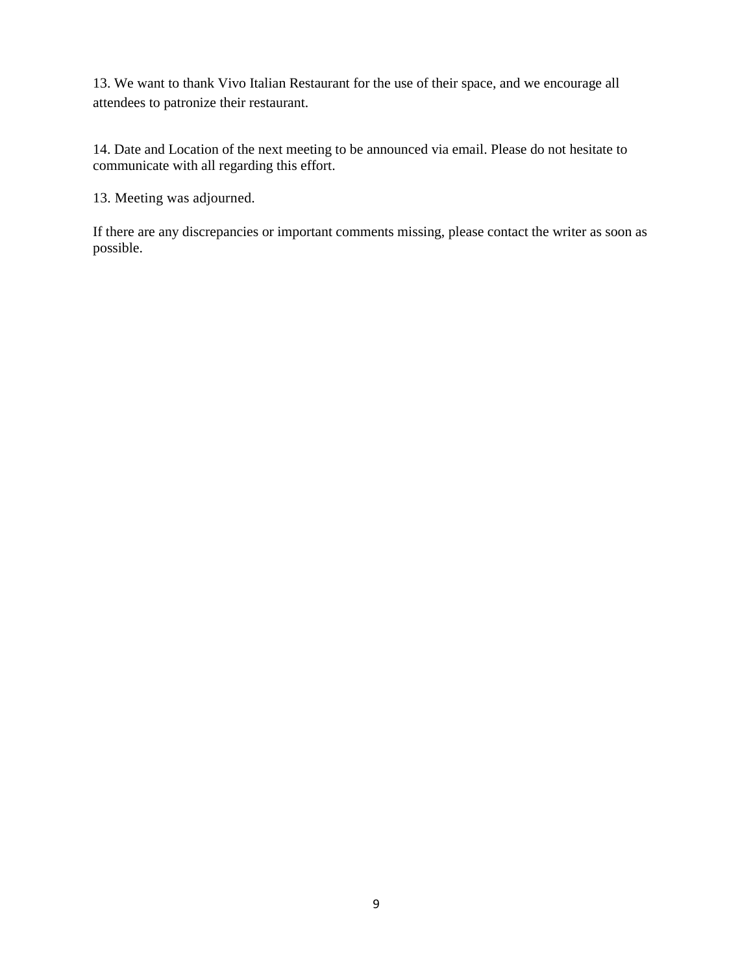13. We want to thank Vivo Italian Restaurant for the use of their space, and we encourage all attendees to patronize their restaurant.

14. Date and Location of the next meeting to be announced via email. Please do not hesitate to communicate with all regarding this effort.

13. Meeting was adjourned.

If there are any discrepancies or important comments missing, please contact the writer as soon as possible.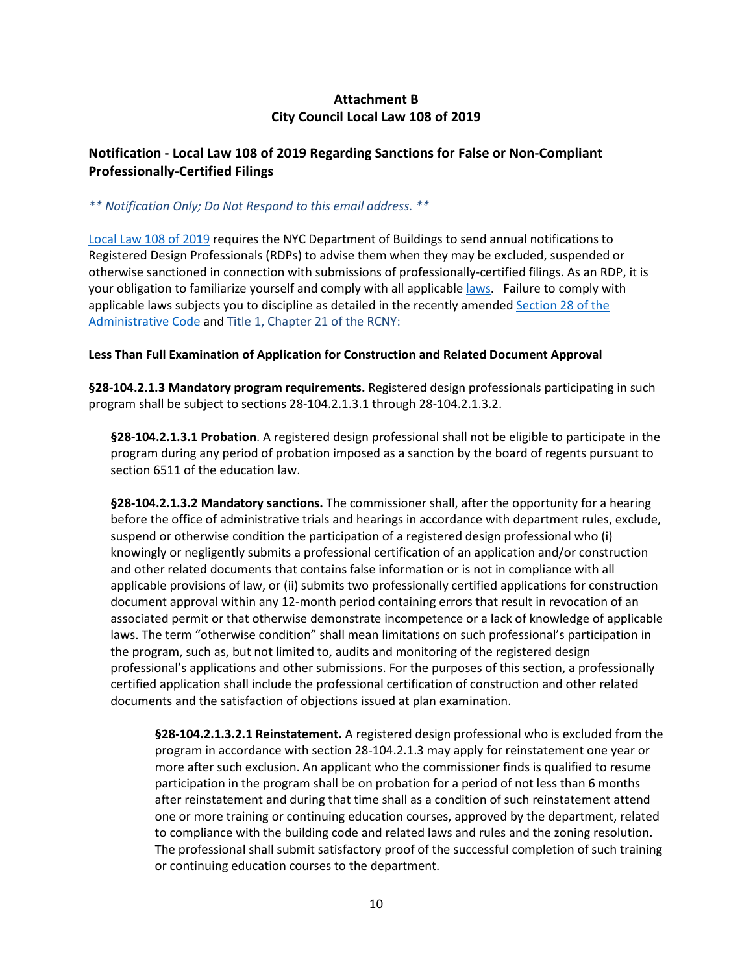## **Attachment B City Council Local Law 108 of 2019**

## **Notification - Local Law 108 of 2019 Regarding Sanctions for False or Non-Compliant Professionally-Certified Filings**

*\*\* Notification Only; Do Not Respond to this email address. \*\**

[Local Law 108 of 2019](https://www1.nyc.gov/assets/buildings/local_laws/ll108of2019.pdf) requires the NYC Department of Buildings to send annual notifications to Registered Design Professionals (RDPs) to advise them when they may be excluded, suspended or otherwise sanctioned in connection with submissions of professionally-certified filings. As an RDP, it is your obligation to familiarize yourself and comply with all applicable [laws.](https://www1.nyc.gov/site/buildings/codes/local-laws.page) Failure to comply with applicable laws subjects you to discipline as detailed in the recently amended [Section 28 of the](https://www1.nyc.gov/assets/buildings/building_code/2014_CC_AC_Total.pdf)  [Administrative Code](https://www1.nyc.gov/assets/buildings/building_code/2014_CC_AC_Total.pdf) an[d Title 1, Chapter 21 of the RCNY:](http://www.nyc.gov/html/dob/downloads/rules/1_RCNY_21-02.pdf)

#### **Less Than Full Examination of Application for Construction and Related Document Approval**

**§28-104.2.1.3 Mandatory program requirements.** Registered design professionals participating in such program shall be subject to sections 28-104.2.1.3.1 through 28-104.2.1.3.2.

**§28-104.2.1.3.1 Probation**. A registered design professional shall not be eligible to participate in the program during any period of probation imposed as a sanction by the board of regents pursuant to section 6511 of the education law.

**§28-104.2.1.3.2 Mandatory sanctions.** The commissioner shall, after the opportunity for a hearing before the office of administrative trials and hearings in accordance with department rules, exclude, suspend or otherwise condition the participation of a registered design professional who (i) knowingly or negligently submits a professional certification of an application and/or construction and other related documents that contains false information or is not in compliance with all applicable provisions of law, or (ii) submits two professionally certified applications for construction document approval within any 12-month period containing errors that result in revocation of an associated permit or that otherwise demonstrate incompetence or a lack of knowledge of applicable laws. The term "otherwise condition" shall mean limitations on such professional's participation in the program, such as, but not limited to, audits and monitoring of the registered design professional's applications and other submissions. For the purposes of this section, a professionally certified application shall include the professional certification of construction and other related documents and the satisfaction of objections issued at plan examination.

**§28-104.2.1.3.2.1 Reinstatement.** A registered design professional who is excluded from the program in accordance with section 28-104.2.1.3 may apply for reinstatement one year or more after such exclusion. An applicant who the commissioner finds is qualified to resume participation in the program shall be on probation for a period of not less than 6 months after reinstatement and during that time shall as a condition of such reinstatement attend one or more training or continuing education courses, approved by the department, related to compliance with the building code and related laws and rules and the zoning resolution. The professional shall submit satisfactory proof of the successful completion of such training or continuing education courses to the department.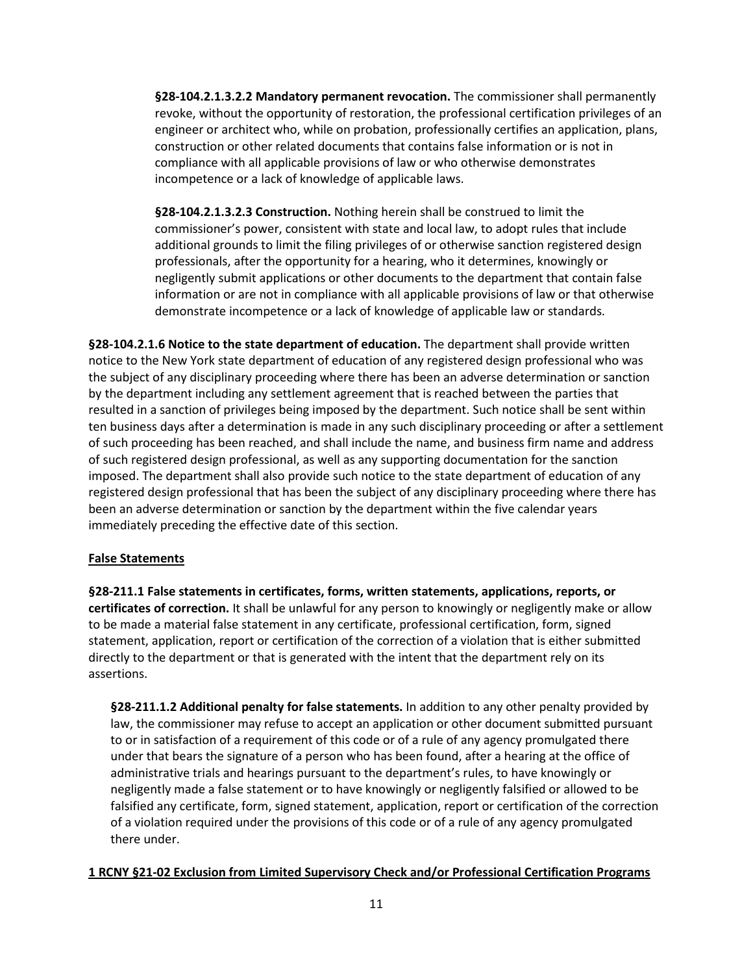**§28-104.2.1.3.2.2 Mandatory permanent revocation.** The commissioner shall permanently revoke, without the opportunity of restoration, the professional certification privileges of an engineer or architect who, while on probation, professionally certifies an application, plans, construction or other related documents that contains false information or is not in compliance with all applicable provisions of law or who otherwise demonstrates incompetence or a lack of knowledge of applicable laws.

**§28-104.2.1.3.2.3 Construction.** Nothing herein shall be construed to limit the commissioner's power, consistent with state and local law, to adopt rules that include additional grounds to limit the filing privileges of or otherwise sanction registered design professionals, after the opportunity for a hearing, who it determines, knowingly or negligently submit applications or other documents to the department that contain false information or are not in compliance with all applicable provisions of law or that otherwise demonstrate incompetence or a lack of knowledge of applicable law or standards.

**§28-104.2.1.6 Notice to the state department of education.** The department shall provide written notice to the New York state department of education of any registered design professional who was the subject of any disciplinary proceeding where there has been an adverse determination or sanction by the department including any settlement agreement that is reached between the parties that resulted in a sanction of privileges being imposed by the department. Such notice shall be sent within ten business days after a determination is made in any such disciplinary proceeding or after a settlement of such proceeding has been reached, and shall include the name, and business firm name and address of such registered design professional, as well as any supporting documentation for the sanction imposed. The department shall also provide such notice to the state department of education of any registered design professional that has been the subject of any disciplinary proceeding where there has been an adverse determination or sanction by the department within the five calendar years immediately preceding the effective date of this section.

#### **False Statements**

**§28-211.1 False statements in certificates, forms, written statements, applications, reports, or certificates of correction.** It shall be unlawful for any person to knowingly or negligently make or allow to be made a material false statement in any certificate, professional certification, form, signed statement, application, report or certification of the correction of a violation that is either submitted directly to the department or that is generated with the intent that the department rely on its assertions.

**§28-211.1.2 Additional penalty for false statements.** In addition to any other penalty provided by law, the commissioner may refuse to accept an application or other document submitted pursuant to or in satisfaction of a requirement of this code or of a rule of any agency promulgated there under that bears the signature of a person who has been found, after a hearing at the office of administrative trials and hearings pursuant to the department's rules, to have knowingly or negligently made a false statement or to have knowingly or negligently falsified or allowed to be falsified any certificate, form, signed statement, application, report or certification of the correction of a violation required under the provisions of this code or of a rule of any agency promulgated there under.

#### **1 RCNY §21-02 Exclusion from Limited Supervisory Check and/or Professional Certification Programs**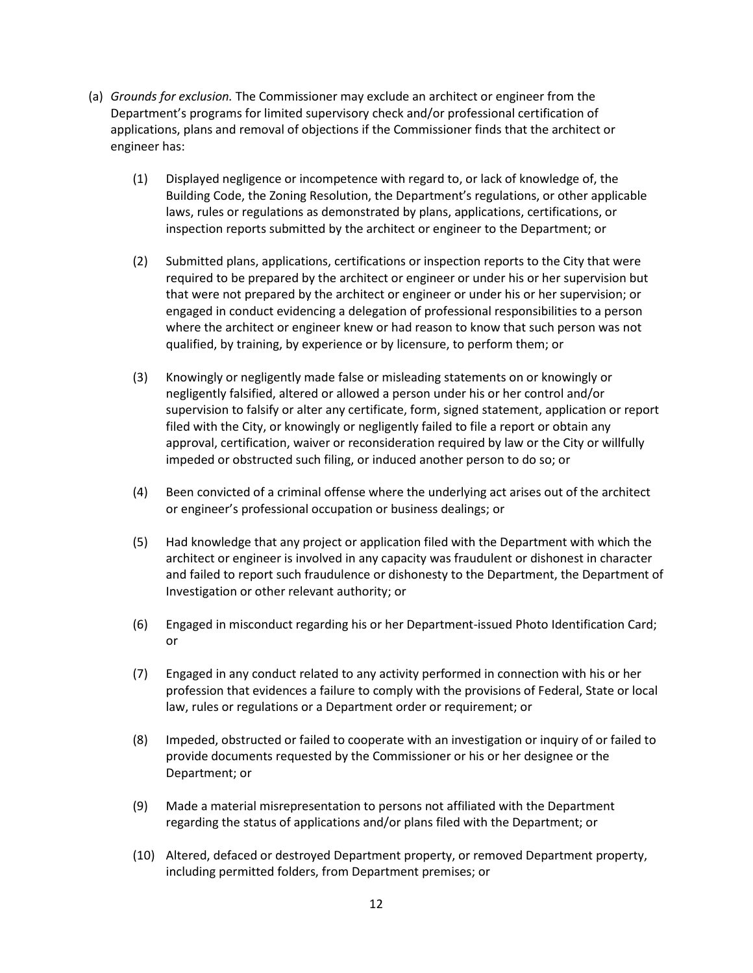- (a) *Grounds for exclusion.* The Commissioner may exclude an architect or engineer from the Department's programs for limited supervisory check and/or professional certification of applications, plans and removal of objections if the Commissioner finds that the architect or engineer has:
	- (1) Displayed negligence or incompetence with regard to, or lack of knowledge of, the Building Code, the Zoning Resolution, the Department's regulations, or other applicable laws, rules or regulations as demonstrated by plans, applications, certifications, or inspection reports submitted by the architect or engineer to the Department; or
	- (2) Submitted plans, applications, certifications or inspection reports to the City that were required to be prepared by the architect or engineer or under his or her supervision but that were not prepared by the architect or engineer or under his or her supervision; or engaged in conduct evidencing a delegation of professional responsibilities to a person where the architect or engineer knew or had reason to know that such person was not qualified, by training, by experience or by licensure, to perform them; or
	- (3) Knowingly or negligently made false or misleading statements on or knowingly or negligently falsified, altered or allowed a person under his or her control and/or supervision to falsify or alter any certificate, form, signed statement, application or report filed with the City, or knowingly or negligently failed to file a report or obtain any approval, certification, waiver or reconsideration required by law or the City or willfully impeded or obstructed such filing, or induced another person to do so; or
	- (4) Been convicted of a criminal offense where the underlying act arises out of the architect or engineer's professional occupation or business dealings; or
	- (5) Had knowledge that any project or application filed with the Department with which the architect or engineer is involved in any capacity was fraudulent or dishonest in character and failed to report such fraudulence or dishonesty to the Department, the Department of Investigation or other relevant authority; or
	- (6) Engaged in misconduct regarding his or her Department-issued Photo Identification Card; or
	- (7) Engaged in any conduct related to any activity performed in connection with his or her profession that evidences a failure to comply with the provisions of Federal, State or local law, rules or regulations or a Department order or requirement; or
	- (8) Impeded, obstructed or failed to cooperate with an investigation or inquiry of or failed to provide documents requested by the Commissioner or his or her designee or the Department; or
	- (9) Made a material misrepresentation to persons not affiliated with the Department regarding the status of applications and/or plans filed with the Department; or
	- (10) Altered, defaced or destroyed Department property, or removed Department property, including permitted folders, from Department premises; or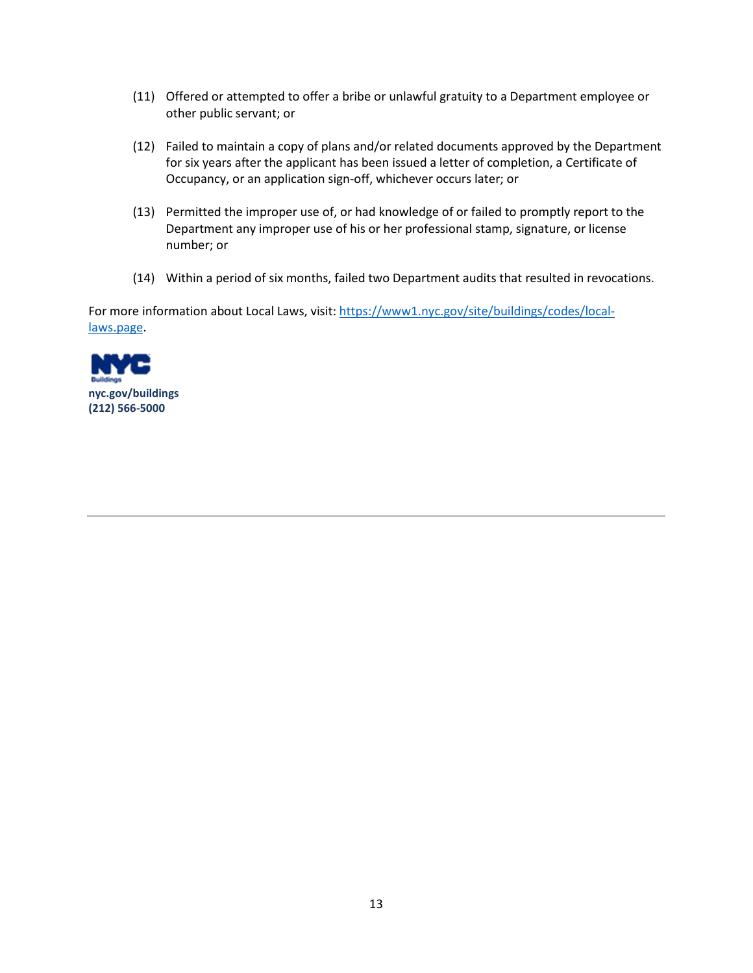- (11) Offered or attempted to offer a bribe or unlawful gratuity to a Department employee or other public servant; or
- (12) Failed to maintain a copy of plans and/or related documents approved by the Department for six years after the applicant has been issued a letter of completion, a Certificate of Occupancy, or an application sign-off, whichever occurs later; or
- (13) Permitted the improper use of, or had knowledge of or failed to promptly report to the Department any improper use of his or her professional stamp, signature, or license number; or
- (14) Within a period of six months, failed two Department audits that resulted in revocations.

For more information about Local Laws, visit: [https://www1.nyc.gov/site/buildings/codes/local](https://www1.nyc.gov/site/buildings/codes/local-laws.page)[laws.page.](https://www1.nyc.gov/site/buildings/codes/local-laws.page)

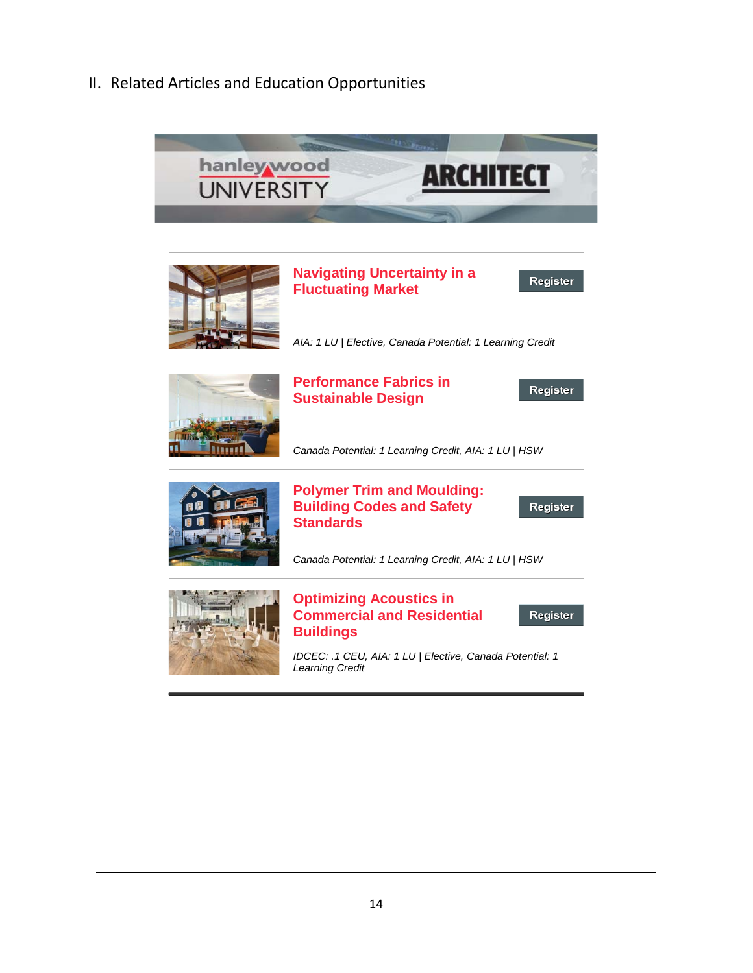II. Related Articles and Education Opportunities

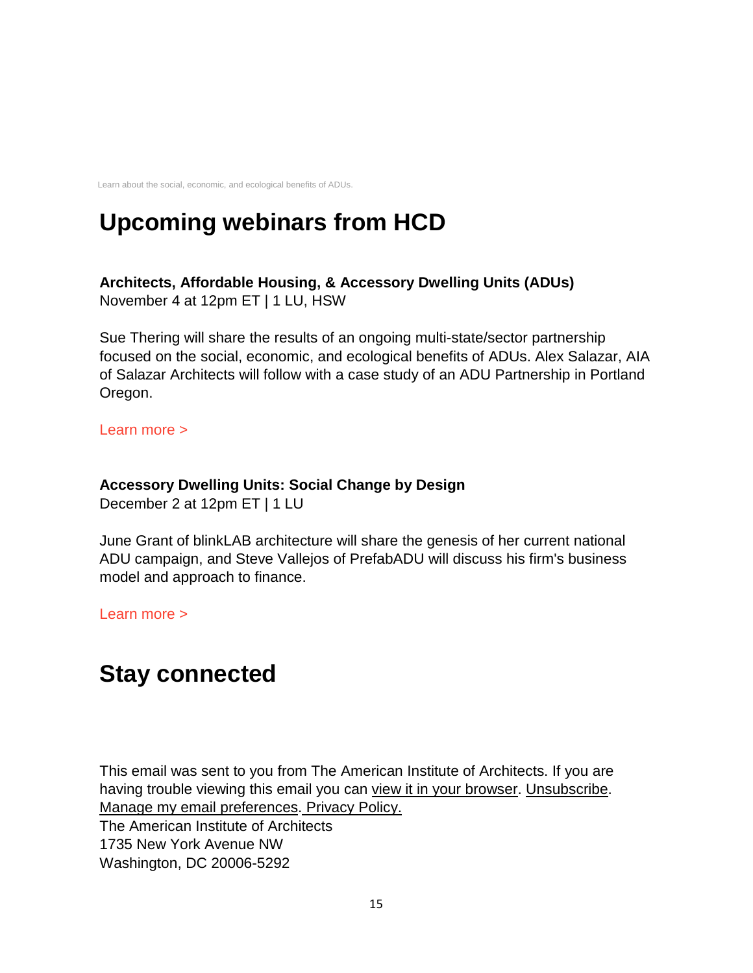Learn about the social, economic, and ecological benefits of ADUs.

# **Upcoming webinars from HCD**

## **Architects, Affordable Housing, & Accessory Dwelling Units (ADUs)** November 4 at 12pm ET | 1 LU, HSW

Sue Thering will share the results of an ongoing multi-state/sector partnership focused on the social, economic, and ecological benefits of ADUs. Alex Salazar, AIA of Salazar Architects will follow with a case study of an ADU Partnership in Portland Oregon.

[Learn more >](https://linkprotect.cudasvc.com/url?a=http%3a%2f%2fsend.aia.org%2flink.cfm%3fr%3dXhfYSVNXVjgXskZDp-b2gw~~%26pe%3d-zxqraZ9DWOcfABCd2tVWoIO6z7SSN7Sn23iFbLtM5rSyppuegWA7ynZ-WwweAxNUWyzJiakORo6ACYu7wqKCQ~~%26t%3d6CT6X-rk0Jqlk4ytSUR4Sg~~&c=E,1,bxZvHYt2qfIqZ2QZ9pAo4iccvzv_urjtS7QDD5-z6sYt8dXc7PmNiiXMyrVaj1K6FkOh6C8eOf4QMDoADty5kAgqT1BXcsrBzeMEcN941Zb4-TACWuvR3lNXDUyB&typo=1)

## **Accessory Dwelling Units: Social Change by Design**

December 2 at 12pm ET | 1 LU

June Grant of blinkLAB architecture will share the genesis of her current national ADU campaign, and Steve Vallejos of PrefabADU will discuss his firm's business model and approach to finance.

[Learn more >](https://linkprotect.cudasvc.com/url?a=http%3a%2f%2fsend.aia.org%2flink.cfm%3fr%3dXhfYSVNXVjgXskZDp-b2gw~~%26pe%3dj-0XRFqFFmLB-a3Kf3tbXSuDsYZaIEoSY_HkdatPmXjxGceprj25SStR6TfQMPSpyVzhHMVSJOghD-6Cz8L2Ug~~%26t%3d6CT6X-rk0Jqlk4ytSUR4Sg~~&c=E,1,y_WRpg2F6WpHOA-PO2RGampy6wG97Gu3Sby9mrj50tWzykqInMcOnxNI93a1hN-T8jE8aAZ1FLiCLqP0yxkyHopGJj4gkNS1vzO_PJeibOS5oZDYsNHNjU0myXY,&typo=1)

## **Stay connected**

This email was sent to you from The American Institute of Architects. If you are having trouble viewing this email you can [view it in your browser.](https://linkprotect.cudasvc.com/url?a=http%3a%2f%2fsend.aia.org%2flink.cfm%3fr%3dXhfYSVNXVjgXskZDp-b2gw~~%26pe%3dVp4WtvMSa7ntGkc-QPpE1X_GwVazq3AgjLsoFRk2rUfUGK1J15-GCbjBf7Hjwj3VFULUo6meclcM7IhOpe3WPA~~%26t%3d6CT6X-rk0Jqlk4ytSUR4Sg~~&c=E,1,ZNxTe-Req9p--MXlMDk1mlxLe85wvu3xqoRQAe8V9E5r1ueJqk6135hhALKf-c7M0muu0nnJr1NMm3lfjkwceHRRuBKOeKJob1LFGvSwheADr6eThg6I3z445A,,&typo=1) [Unsubscribe.](https://linkprotect.cudasvc.com/url?a=http%3a%2f%2fsend.aia.org%2flink.cfm%3fr%3dXhfYSVNXVjgXskZDp-b2gw~~%26pe%3dMYT83HT9RlblCY29Qq6NAzsT6BrLCFIpVA8F3lRcct5bJW__YBH4O-A-8UBkbtst9Bp5Xm4MskZ_cIWfSLF2Tw~~%26t%3d6CT6X-rk0Jqlk4ytSUR4Sg~~&c=E,1,5NRo4b1ftTvc_EVDyPfGVaFekyNKX2AztZ-IuI4mNmjKHs3UhrAkWnYcvlWzB86YcjO7TBPo03FCpJFa3JuGc64-JxKtBi31miw4-D4eBlL9Ig,,&typo=1) [Manage my email preferences.](https://linkprotect.cudasvc.com/url?a=http%3a%2f%2fsend.aia.org%2flink.cfm%3fr%3dXhfYSVNXVjgXskZDp-b2gw~~%26pe%3d2XNWWv4p8mscbfDw9g0vHWlqFtLbTr57Oo9jqNh9aaF3qcGkg8qpzn6Lxm8FG9WP1aSVOG3SHaxInXVqPFkJuw~~%26t%3d6CT6X-rk0Jqlk4ytSUR4Sg~~&c=E,1,aO7q4qpfkBuOV3LY261rrSMMYcJPPihAQ2BfxZdGDyzREiKISa_ZkL2J47lP97CVm7sq1UgfHD14DastF8l6WlFKF_2jxQ8TTxR-s6jHqknyBYVLdzUEwkdvmg,,&typo=1) [Privacy Policy.](https://linkprotect.cudasvc.com/url?a=http%3a%2f%2fsend.aia.org%2flink.cfm%3fr%3dXhfYSVNXVjgXskZDp-b2gw~~%26pe%3dAAb7C7K9CFjAApSLfyO49VunGre7qBSfr65vjE9_wPA3W8og0K2ejTaY0QSdqenB5zK-xvQx0eObH2ygMIf-xw~~%26t%3d6CT6X-rk0Jqlk4ytSUR4Sg~~&c=E,1,FvaFBFplrthZhbug8sFW36m6l4bUhYM6SsamPmFpKfxW6_j8qlv-BzQBJMsLuh1EviN2O1J-fbJtFVyEseH67bt5lfCSGMIicgYqAmSr&typo=1)

The American Institute of Architects 1735 New York Avenue NW Washington, DC 20006-5292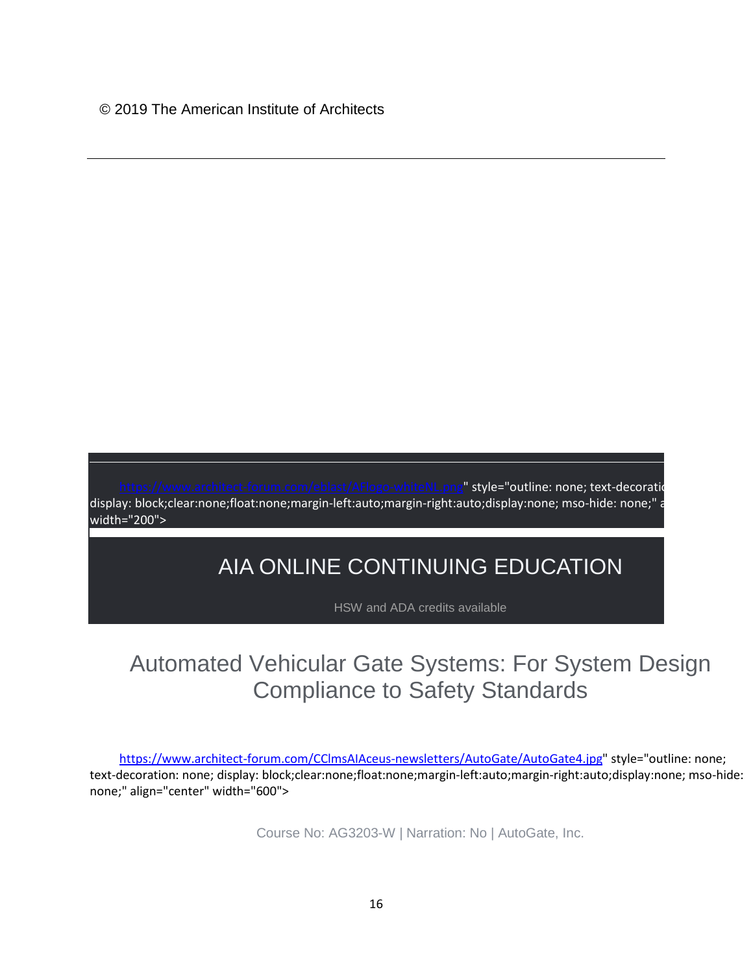https://www.atyle="outline: none; text-decoration display: block;clear:none;float:none;margin-left:auto;margin-right:auto;display:none; mso-hide: none;" a width="200">

## AIA ONLINE CONTINUING EDUCATION

HSW and ADA credits available

## Automated Vehicular Gate Systems: For System Design Compliance to Safety Standards

[https://www.architect-forum.com/CClmsAIAceus-newsletters/AutoGate/AutoGate4.jpg"](https://www.architect-forum.com/CClmsAIAceus-newsletters/AutoGate/AutoGate4.jpg) style="outline: none; text-decoration: none; display: block;clear:none;float:none;margin-left:auto;margin-right:auto;display:none; mso-hide: none;" align="center" width="600">

Course No: AG3203-W | Narration: No | AutoGate, Inc.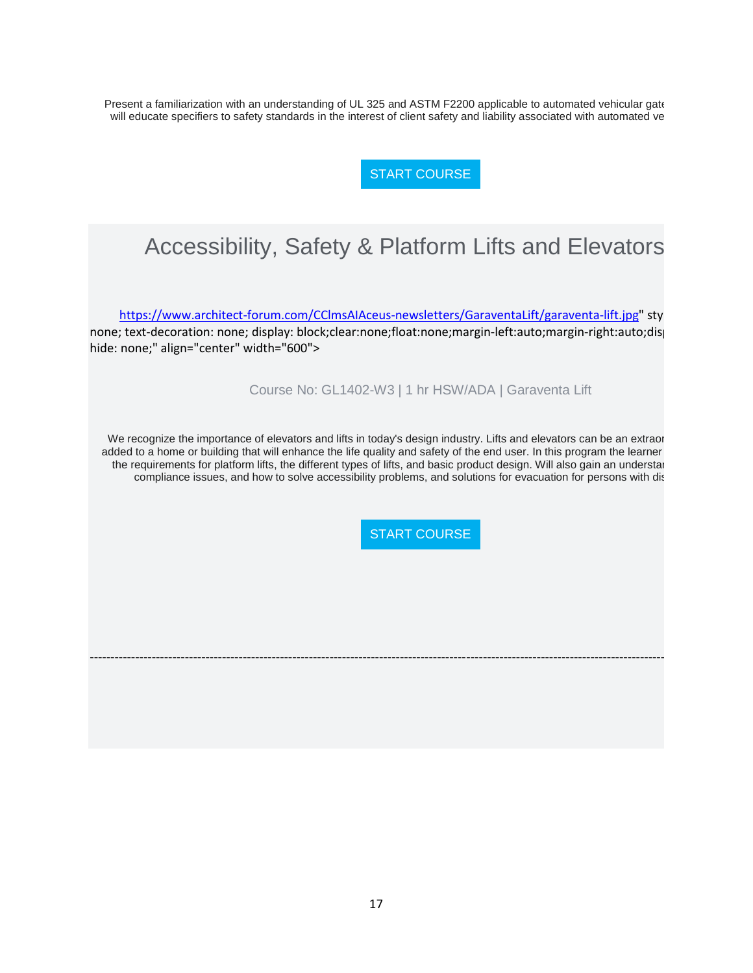Present a familiarization with an understanding of UL 325 and ASTM F2200 applicable to automated vehicular gate will educate specifiers to safety standards in the interest of client safety and liability associated with automated ve

[START COURSE](https://linkprotect.cudasvc.com/url?a=http%3a%2f%2fnewsletter.architect-forum.com%2ft.aspx%3fS%3d1%26ID%3d4730%26NL%3d2%26N%3d2170%26SI%3d2271%26URL%3dhttp%253a%252f%252flms.architect-forum.com%252fsubscribe.php%253fcourse_id%253d252&c=E,1,HQ6k0KZfiYNG9n1sCCtV64PUqxFCkTL1Kl5PHyUorKmZz3Sa0uOzQDuGd3yBTaJs679NLLaa4elrOiejHgir4SAn37jjCaU-MKyjH8PBQu8DnmAfFVUs5VBR&typo=1)

## Accessibility, Safety & Platform Lifts and Elevators

[https://www.architect-forum.com/CClmsAIAceus-newsletters/GaraventaLift/garaventa-lift.jpg"](https://www.architect-forum.com/CClmsAIAceus-newsletters/GaraventaLift/garaventa-lift.jpg) sty none; text-decoration: none; display: block;clear:none;float:none;margin-left:auto;margin-right:auto;disp hide: none;" align="center" width="600">

Course No: GL1402-W3 | 1 hr HSW/ADA | Garaventa Lift

We recognize the importance of elevators and lifts in today's design industry. Lifts and elevators can be an extraor added to a home or building that will enhance the life quality and safety of the end user. In this program the learner the requirements for platform lifts, the different types of lifts, and basic product design. Will also gain an understan compliance issues, and how to solve accessibility problems, and solutions for evacuation for persons with dis

-------------------------------------------------------------------------------------------------------------------------------------------

[START COURSE](https://linkprotect.cudasvc.com/url?a=http%3a%2f%2fnewsletter.architect-forum.com%2ft.aspx%3fS%3d1%26ID%3d4730%26NL%3d2%26N%3d2170%26SI%3d2271%26URL%3dhttp%253a%252f%252flms.architect-forum.com%252fsubscribe.php%253fcourse_id%253d272&c=E,1,p0zS-XP1z_yYArXIo10_wAm6rUF3uYKWPl8lHWT_4e1zFhsyUvV1RKLwQlg59CtLp0K60VKsy1Q2oE96B6M05UXVQCqfxgjvIrF3a8Ern9CisuiDBaaJkA,,&typo=1)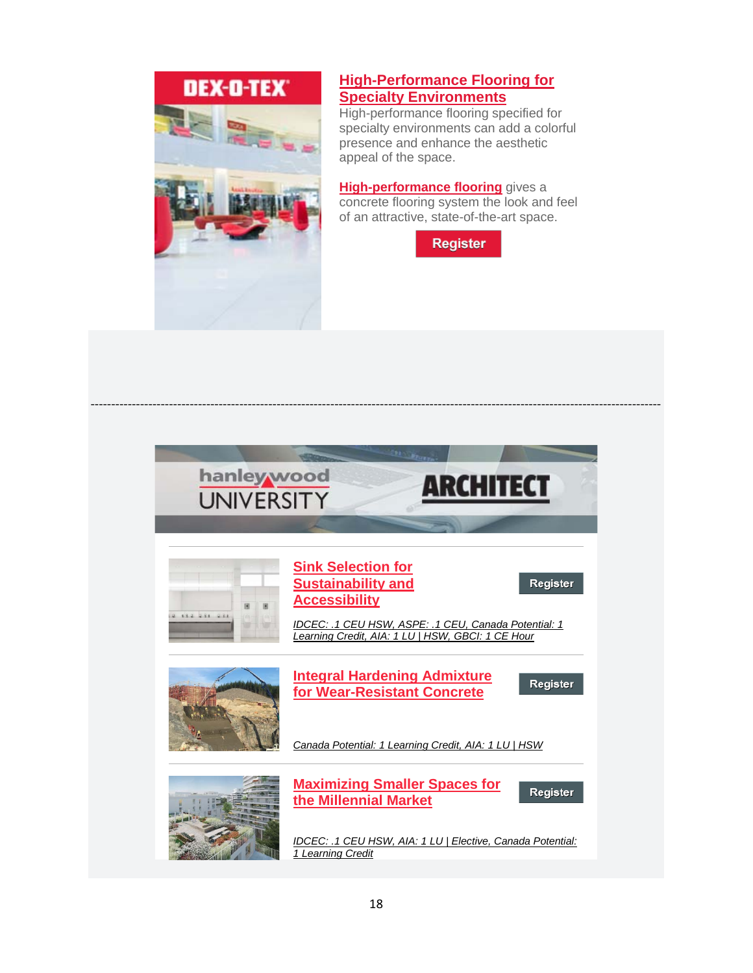# DEX-D-TEX\*



### **[High-Performance Flooring for](https://linkprotect.cudasvc.com/url?a=http%3a%2f%2fclick1.communication.hanleywood.com%2fdhjldhzjtpmfsmrhfrkmhfzmmzfmpsrlbtctwbdpsjcsm_thlvzjwklvmljvwcww.html%3fa%3dbesnard%2540dzco.com&c=E,1,SO3cLa1Uss5No00PdSwLc0U1pRThXOq07GOxrzw3grLaXa9uiBR59U9c8rHOIcH1NS26V2APBJhMFwquomJkR7G3oyKh9MdnHELY5KaFhnpeq1s,&typo=1)  [Specialty Environments](https://linkprotect.cudasvc.com/url?a=http%3a%2f%2fclick1.communication.hanleywood.com%2fdhjldhzjtpmfsmrhfrkmhfzmmzfmpsrlbtctwbdpsjcsm_thlvzjwklvmljvwcww.html%3fa%3dbesnard%2540dzco.com&c=E,1,SO3cLa1Uss5No00PdSwLc0U1pRThXOq07GOxrzw3grLaXa9uiBR59U9c8rHOIcH1NS26V2APBJhMFwquomJkR7G3oyKh9MdnHELY5KaFhnpeq1s,&typo=1)**

High-performance flooring specified for specialty environments can add a colorful presence and enhance the aesthetic appeal of the space.

**[High-performance flooring](https://linkprotect.cudasvc.com/url?a=http%3a%2f%2fclick1.communication.hanleywood.com%2fzpdgwpvfrmlkdlbpkbjlpkvllvklmdbgcrsrqcwmdfsdw_thlvzjwklvmljvwcww.html%3fa%3dbesnard%2540dzco.com&c=E,1,WPnwrqxI32ScHJAYlVMtvMAv6maMPY3_bG9sYpy_p-6uYukNGaETr43UgEZefm9wysr73o6OB_oYo-VfC4H21SawR8mmaMFYO0gMjbMjqgy9rC8C&typo=1)** gives a concrete flooring system the look and feel of an attractive, state-of-the-art space.



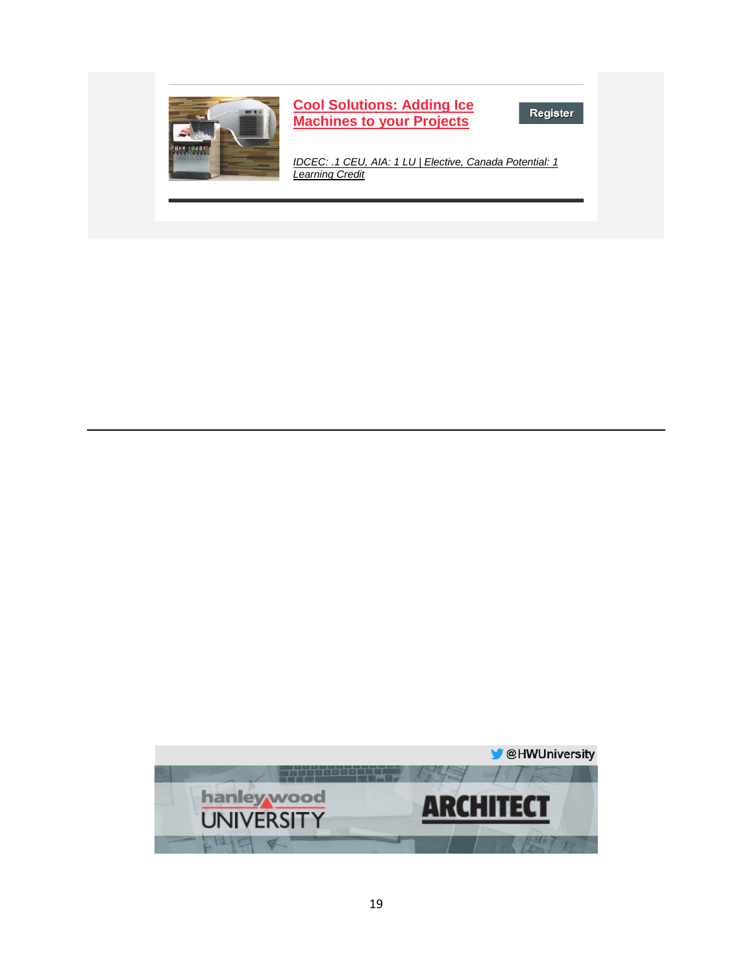

**[Cool Solutions: Adding Ice](https://linkprotect.cudasvc.com/url?a=http%3a%2f%2fclick1.e.hanleywood-media.com%2fqmvjpsydmwfthfvstvqfstyffytfwhvjcmgmrcpwhhdpd_pvdmqdfbhmchdjvqff.html%3fa%3dbesnard%2540dzco.com%26b%3dHWU_EBMGHWUN721155_Update_Newsletter_102319%2b%2b%2b%2b%2b%2b%255BCombo%2b%25232%255D&c=E,1,xS1UTU9nJ6y5al5SA0x_Etq0TKwRch_7g3fRxybKOEpkEHeUKSg-IzwTd7QBSITda-dUeeke1kiBkPL4_gTJTjI8ipBuxNtBC44ySbbmzw,,&typo=1)  [Machines to your Projects](https://linkprotect.cudasvc.com/url?a=http%3a%2f%2fclick1.e.hanleywood-media.com%2fqmvjpsydmwfthfvstvqfstyffytfwhvjcmgmrcpwhhdpd_pvdmqdfbhmchdjvqff.html%3fa%3dbesnard%2540dzco.com%26b%3dHWU_EBMGHWUN721155_Update_Newsletter_102319%2b%2b%2b%2b%2b%2b%255BCombo%2b%25232%255D&c=E,1,xS1UTU9nJ6y5al5SA0x_Etq0TKwRch_7g3fRxybKOEpkEHeUKSg-IzwTd7QBSITda-dUeeke1kiBkPL4_gTJTjI8ipBuxNtBC44ySbbmzw,,&typo=1)**

Register

*[IDCEC: .1 CEU, AIA: 1 LU | Elective, Canada Potential: 1](https://linkprotect.cudasvc.com/url?a=http%3a%2f%2fclick1.e.hanleywood-media.com%2fbzpscfvzplqybqjfyjkqfyvqqvyqlbjsnpgpmnclbbzbp_pvdmqdfbhmchdjvqff.html%3fa%3dbesnard%2540dzco.com%26b%3dHWU_EBMGHWUN721155_Update_Newsletter_102319%2b%2b%2b%2b%2b%2b%255BCombo%2b%25232%255D&c=E,1,yeLv6Y8cQhwneqZhpGCbzqF4bn7-NROjqHjc4WoJqIvKMo3Kl_p5daTxl3GbmIPDgMFB6R7GxpYuljcnBYC_KuzBrbWx4cZ9xXCNJT4B_dWy14EmaJEWjMM,&typo=1)  [Learning Credit](https://linkprotect.cudasvc.com/url?a=http%3a%2f%2fclick1.e.hanleywood-media.com%2fbzpscfvzplqybqjfyjkqfyvqqvyqlbjsnpgpmnclbbzbp_pvdmqdfbhmchdjvqff.html%3fa%3dbesnard%2540dzco.com%26b%3dHWU_EBMGHWUN721155_Update_Newsletter_102319%2b%2b%2b%2b%2b%2b%255BCombo%2b%25232%255D&c=E,1,yeLv6Y8cQhwneqZhpGCbzqF4bn7-NROjqHjc4WoJqIvKMo3Kl_p5daTxl3GbmIPDgMFB6R7GxpYuljcnBYC_KuzBrbWx4cZ9xXCNJT4B_dWy14EmaJEWjMM,&typo=1)*